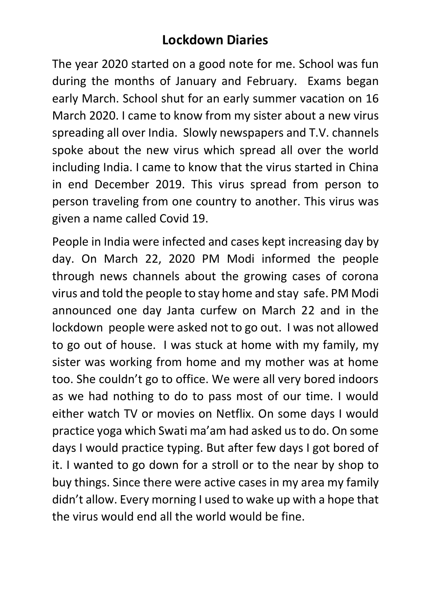## **Lockdown Diaries**

The year 2020 started on a good note for me. School was fun during the months of January and February. Exams began early March. School shut for an early summer vacation on 16 March 2020. I came to know from my sister about a new virus spreading all over India. Slowly newspapers and T.V. channels spoke about the new virus which spread all over the world including India. I came to know that the virus started in China in end December 2019. This virus spread from person to person traveling from one country to another. This virus was given a name called Covid 19.

People in India were infected and cases kept increasing day by day. On March 22, 2020 PM Modi informed the people through news channels about the growing cases of corona virus and told the people to stay home and stay safe. PM Modi announced one day Janta curfew on March 22 and in the lockdown people were asked not to go out. I was not allowed to go out of house. I was stuck at home with my family, my sister was working from home and my mother was at home too. She couldn't go to office. We were all very bored indoors as we had nothing to do to pass most of our time. I would either watch TV or movies on Netflix. On some days I would practice yoga which Swati ma'am had asked us to do. On some days I would practice typing. But after few days I got bored of it. I wanted to go down for a stroll or to the near by shop to buy things. Since there were active cases in my area my family didn't allow. Every morning I used to wake up with a hope that the virus would end all the world would be fine.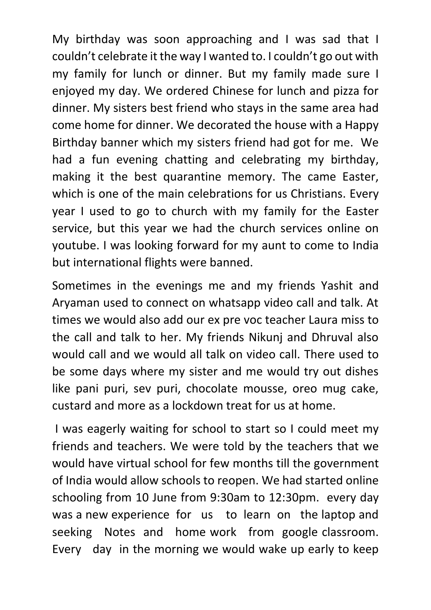My birthday was soon approaching and I was sad that I couldn't celebrate it the way I wanted to. I couldn't go out with my family for lunch or dinner. But my family made sure I enjoyed my day. We ordered Chinese for lunch and pizza for dinner. My sisters best friend who stays in the same area had come home for dinner. We decorated the house with a Happy Birthday banner which my sisters friend had got for me. We had a fun evening chatting and celebrating my birthday, making it the best quarantine memory. The came Easter, which is one of the main celebrations for us Christians. Every year I used to go to church with my family for the Easter service, but this year we had the church services online on youtube. I was looking forward for my aunt to come to India but international flights were banned.

Sometimes in the evenings me and my friends Yashit and Aryaman used to connect on whatsapp video call and talk. At times we would also add our ex pre voc teacher Laura miss to the call and talk to her. My friends Nikunj and Dhruval also would call and we would all talk on video call. There used to be some days where my sister and me would try out dishes like pani puri, sev puri, chocolate mousse, oreo mug cake, custard and more as a lockdown treat for us at home.

I was eagerly waiting for school to start so I could meet my friends and teachers. We were told by the teachers that we would have virtual school for few months till the government of India would allow schools to reopen. We had started online schooling from 10 June from 9:30am to 12:30pm. every day was a new experience for us to learn on the laptop and seeking Notes and home work from google classroom. Every day in the morning we would wake up early to keep